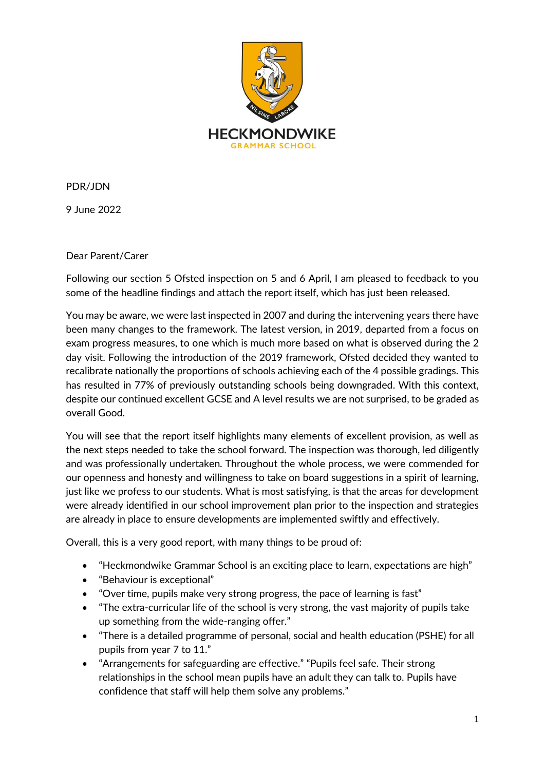

PDR/JDN

9 June 2022

Dear Parent/Carer

Following our section 5 Ofsted inspection on 5 and 6 April, I am pleased to feedback to you some of the headline findings and attach the report itself, which has just been released.

You may be aware, we were last inspected in 2007 and during the intervening years there have been many changes to the framework. The latest version, in 2019, departed from a focus on exam progress measures, to one which is much more based on what is observed during the 2 day visit. Following the introduction of the 2019 framework, Ofsted decided they wanted to recalibrate nationally the proportions of schools achieving each of the 4 possible gradings. This has resulted in 77% of previously outstanding schools being downgraded. With this context, despite our continued excellent GCSE and A level results we are not surprised, to be graded as overall Good.

You will see that the report itself highlights many elements of excellent provision, as well as the next steps needed to take the school forward. The inspection was thorough, led diligently and was professionally undertaken. Throughout the whole process, we were commended for our openness and honesty and willingness to take on board suggestions in a spirit of learning, just like we profess to our students. What is most satisfying, is that the areas for development were already identified in our school improvement plan prior to the inspection and strategies are already in place to ensure developments are implemented swiftly and effectively.

Overall, this is a very good report, with many things to be proud of:

- "Heckmondwike Grammar School is an exciting place to learn, expectations are high"
- "Behaviour is exceptional"
- "Over time, pupils make very strong progress, the pace of learning is fast"
- "The extra-curricular life of the school is very strong, the vast majority of pupils take up something from the wide-ranging offer."
- "There is a detailed programme of personal, social and health education (PSHE) for all pupils from year 7 to 11."
- "Arrangements for safeguarding are effective." "Pupils feel safe. Their strong relationships in the school mean pupils have an adult they can talk to. Pupils have confidence that staff will help them solve any problems."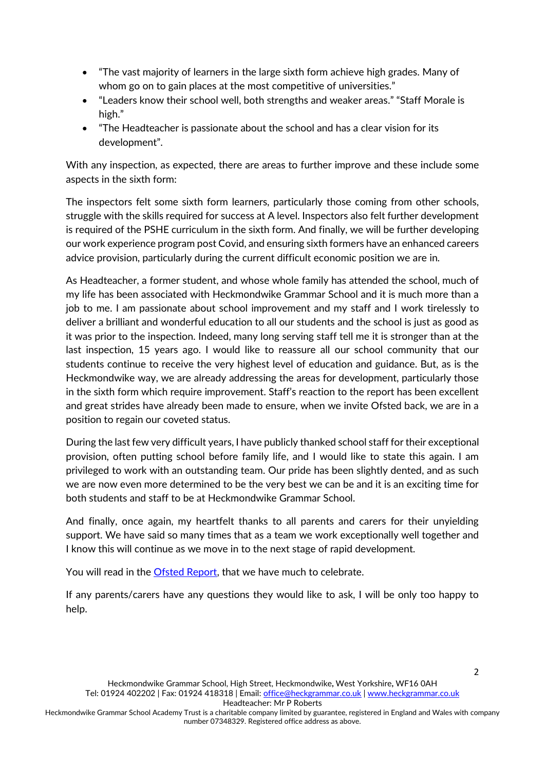- "The vast majority of learners in the large sixth form achieve high grades. Many of whom go on to gain places at the most competitive of universities."
- "Leaders know their school well, both strengths and weaker areas." "Staff Morale is high."
- "The Headteacher is passionate about the school and has a clear vision for its development".

With any inspection, as expected, there are areas to further improve and these include some aspects in the sixth form:

The inspectors felt some sixth form learners, particularly those coming from other schools, struggle with the skills required for success at A level. Inspectors also felt further development is required of the PSHE curriculum in the sixth form. And finally, we will be further developing our work experience program post Covid, and ensuring sixth formers have an enhanced careers advice provision, particularly during the current difficult economic position we are in.

As Headteacher, a former student, and whose whole family has attended the school, much of my life has been associated with Heckmondwike Grammar School and it is much more than a job to me. I am passionate about school improvement and my staff and I work tirelessly to deliver a brilliant and wonderful education to all our students and the school is just as good as it was prior to the inspection. Indeed, many long serving staff tell me it is stronger than at the last inspection, 15 years ago. I would like to reassure all our school community that our students continue to receive the very highest level of education and guidance. But, as is the Heckmondwike way, we are already addressing the areas for development, particularly those in the sixth form which require improvement. Staff's reaction to the report has been excellent and great strides have already been made to ensure, when we invite Ofsted back, we are in a position to regain our coveted status.

During the last few very difficult years, I have publicly thanked school staff for their exceptional provision, often putting school before family life, and I would like to state this again. I am privileged to work with an outstanding team. Our pride has been slightly dented, and as such we are now even more determined to be the very best we can be and it is an exciting time for both students and staff to be at Heckmondwike Grammar School.

And finally, once again, my heartfelt thanks to all parents and carers for their unyielding support. We have said so many times that as a team we work exceptionally well together and I know this will continue as we move in to the next stage of rapid development.

You will read in the [Ofsted Report,](https://www.heckgrammar.co.uk/content/uploads/2022/06/10211902-Heckmondwike-Grammar-136283-Final-PDF.pdf) that we have much to celebrate.

If any parents/carers have any questions they would like to ask, I will be only too happy to help.

Heckmondwike Grammar School Academy Trust is a charitable company limited by guarantee, registered in England and Wales with company number 07348329. Registered office address as above.